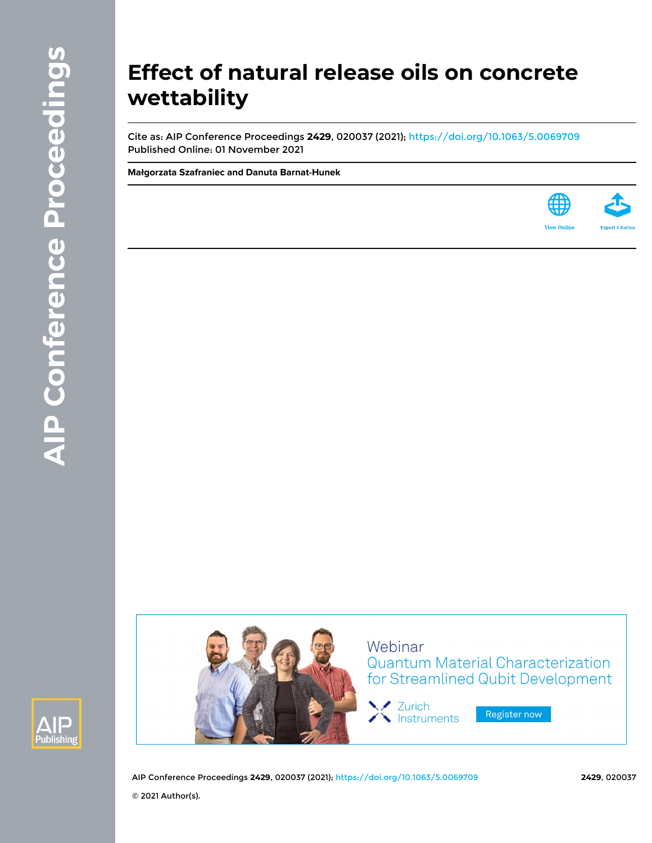# **Effect of natural release oils on concrete wettability**

Cite as: AIP Conference Proceedings **2429**, 020037 (2021);<https://doi.org/10.1063/5.0069709> Published Online: 01 November 2021

**[Małgorzata Szafraniec](https://aip.scitation.org/author/Szafraniec%2C+Ma%C5%82gorzata) and [Danuta Barnat-Hunek](https://aip.scitation.org/author/Barnat-Hunek%2C+Danuta)**







**Quantum Material Characterization** for Streamlined Qubit Development

Register now

AIP Conference Proceedings **2429**, 020037 (2021);<https://doi.org/10.1063/5.0069709> **2429**, 020037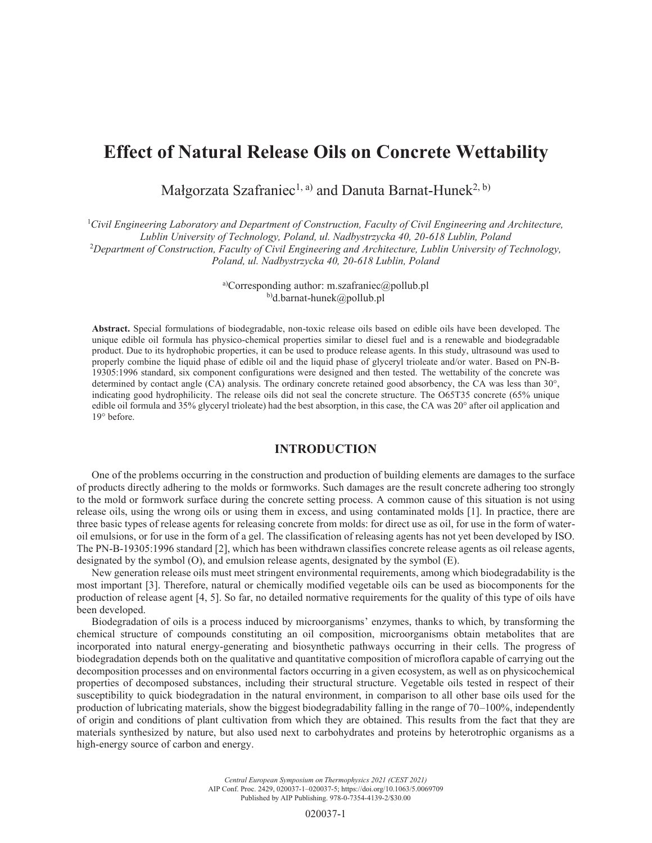# **Effect of Natural Release Oils on Concrete Wettability**

Małgorzata Szafraniec<sup>1, a)</sup> and Danuta Barnat-Hunek<sup>2, b)</sup>

<sup>1</sup> Civil Engineering Laboratory and Department of Construction, Faculty of Civil Engineering and Architecture, *Lublin University of Technology, Poland, ul. Nadbystrzycka 40, 20-618 Lublin, Poland* 2 *Department of Construction, Faculty of Civil Engineering and Architecture, Lublin University of Technology, Poland, ul. Nadbystrzycka 40, 20-618 Lublin, Poland*

> a)Corresponding author: m.szafraniec@pollub.pl b)d.barnat-hunek@pollub.pl

**Abstract.** Special formulations of biodegradable, non-toxic release oils based on edible oils have been developed. The unique edible oil formula has physico-chemical properties similar to diesel fuel and is a renewable and biodegradable product. Due to its hydrophobic properties, it can be used to produce release agents. In this study, ultrasound was used to properly combine the liquid phase of edible oil and the liquid phase of glyceryl trioleate and/or water. Based on PN-B-19305:1996 standard, six component configurations were designed and then tested. The wettability of the concrete was determined by contact angle (CA) analysis. The ordinary concrete retained good absorbency, the CA was less than 30°, indicating good hydrophilicity. The release oils did not seal the concrete structure. The O65T35 concrete (65% unique edible oil formula and 35% glyceryl trioleate) had the best absorption, in this case, the CA was 20° after oil application and 19° before.

#### **INTRODUCTION**

One of the problems occurring in the construction and production of building elements are damages to the surface of products directly adhering to the molds or formworks. Such damages are the result concrete adhering too strongly to the mold or formwork surface during the concrete setting process. A common cause of this situation is not using release oils, using the wrong oils or using them in excess, and using contaminated molds [1]. In practice, there are three basic types of release agents for releasing concrete from molds: for direct use as oil, for use in the form of wateroil emulsions, or for use in the form of a gel. The classification of releasing agents has not yet been developed by ISO. The PN-B-19305:1996 standard [2], which has been withdrawn classifies concrete release agents as oil release agents, designated by the symbol (O), and emulsion release agents, designated by the symbol (E).

New generation release oils must meet stringent environmental requirements, among which biodegradability is the most important [3]. Therefore, natural or chemically modified vegetable oils can be used as biocomponents for the production of release agent [4, 5]. So far, no detailed normative requirements for the quality of this type of oils have been developed.

Biodegradation of oils is a process induced by microorganisms' enzymes, thanks to which, by transforming the chemical structure of compounds constituting an oil composition, microorganisms obtain metabolites that are incorporated into natural energy-generating and biosynthetic pathways occurring in their cells. The progress of biodegradation depends both on the qualitative and quantitative composition of microflora capable of carrying out the decomposition processes and on environmental factors occurring in a given ecosystem, as well as on physicochemical properties of decomposed substances, including their structural structure. Vegetable oils tested in respect of their susceptibility to quick biodegradation in the natural environment, in comparison to all other base oils used for the production of lubricating materials, show the biggest biodegradability falling in the range of 70–100%, independently of origin and conditions of plant cultivation from which they are obtained. This results from the fact that they are materials synthesized by nature, but also used next to carbohydrates and proteins by heterotrophic organisms as a high-energy source of carbon and energy.

> *Central European Symposium on Thermophysics 2021 (CEST 2021)* AIP Conf. Proc. 2429, 020037-1–020037-5; https://doi.org/10.1063/5.0069709 Published by AIP Publishing. 978-0-7354-4139-2/\$30.00

> > 020037-1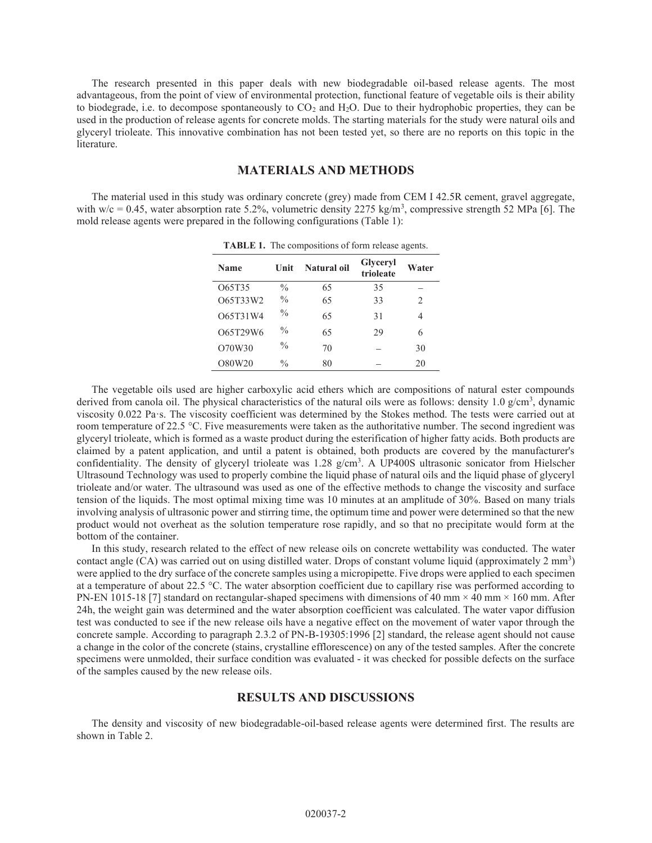The research presented in this paper deals with new biodegradable oil-based release agents. The most advantageous, from the point of view of environmental protection, functional feature of vegetable oils is their ability to biodegrade, i.e. to decompose spontaneously to  $CO<sub>2</sub>$  and  $H<sub>2</sub>O$ . Due to their hydrophobic properties, they can be used in the production of release agents for concrete molds. The starting materials for the study were natural oils and glyceryl trioleate. This innovative combination has not been tested yet, so there are no reports on this topic in the literature.

# **MATERIALS AND METHODS**

The material used in this study was ordinary concrete (grey) made from CEM I 42.5R cement, gravel aggregate, with  $w/c = 0.45$ , water absorption rate 5.2%, volumetric density 2275 kg/m<sup>3</sup>, compressive strength 52 MPa [6]. The mold release agents were prepared in the following configurations (Table 1):

| TABLE 1. The compositions of form release agents. |               |             |                       |               |  |  |  |  |  |
|---------------------------------------------------|---------------|-------------|-----------------------|---------------|--|--|--|--|--|
| <b>Name</b>                                       | Unit          | Natural oil | Glyceryl<br>trioleate | Water         |  |  |  |  |  |
| O65T35                                            | $\frac{0}{0}$ | 65          | 35                    |               |  |  |  |  |  |
| O65T33W2                                          | $\frac{0}{0}$ | 65          | 33                    | $\mathcal{L}$ |  |  |  |  |  |
| O65T31W4                                          | $\frac{0}{0}$ | 65          | 31                    | 4             |  |  |  |  |  |
| O65T29W6                                          | $\frac{0}{0}$ | 65          | 29                    | 6             |  |  |  |  |  |
| O70W30                                            | $\frac{0}{0}$ | 70          |                       | 30            |  |  |  |  |  |
| O80W20                                            | $\frac{0}{0}$ | 80          |                       | 20            |  |  |  |  |  |

The vegetable oils used are higher carboxylic acid ethers which are compositions of natural ester compounds derived from canola oil. The physical characteristics of the natural oils were as follows: density 1.0  $g/cm^3$ , dynamic viscosity 0.022 Pa·s. The viscosity coefficient was determined by the Stokes method. The tests were carried out at room temperature of 22.5 °C. Five measurements were taken as the authoritative number. The second ingredient was glyceryl trioleate, which is formed as a waste product during the esterification of higher fatty acids. Both products are claimed by a patent application, and until a patent is obtained, both products are covered by the manufacturer's confidentiality. The density of glyceryl trioleate was 1.28 g/cm<sup>3</sup>. A UP400S ultrasonic sonicator from Hielscher Ultrasound Technology was used to properly combine the liquid phase of natural oils and the liquid phase of glyceryl trioleate and/or water. The ultrasound was used as one of the effective methods to change the viscosity and surface tension of the liquids. The most optimal mixing time was 10 minutes at an amplitude of 30%. Based on many trials involving analysis of ultrasonic power and stirring time, the optimum time and power were determined so that the new product would not overheat as the solution temperature rose rapidly, and so that no precipitate would form at the bottom of the container.

In this study, research related to the effect of new release oils on concrete wettability was conducted. The water contact angle (CA) was carried out on using distilled water. Drops of constant volume liquid (approximately 2 mm<sup>3</sup>) were applied to the dry surface of the concrete samples using a micropipette. Five drops were applied to each specimen at a temperature of about 22.5 °C. The water absorption coefficient due to capillary rise was performed according to PN-EN 1015-18 [7] standard on rectangular-shaped specimens with dimensions of 40 mm  $\times$  40 mm  $\times$  160 mm. After 24h, the weight gain was determined and the water absorption coefficient was calculated. The water vapor diffusion test was conducted to see if the new release oils have a negative effect on the movement of water vapor through the concrete sample. According to paragraph 2.3.2 of PN-B-19305:1996 [2] standard, the release agent should not cause a change in the color of the concrete (stains, crystalline efflorescence) on any of the tested samples. After the concrete specimens were unmolded, their surface condition was evaluated - it was checked for possible defects on the surface of the samples caused by the new release oils.

#### **RESULTS AND DISCUSSIONS**

The density and viscosity of new biodegradable-oil-based release agents were determined first. The results are shown in Table 2.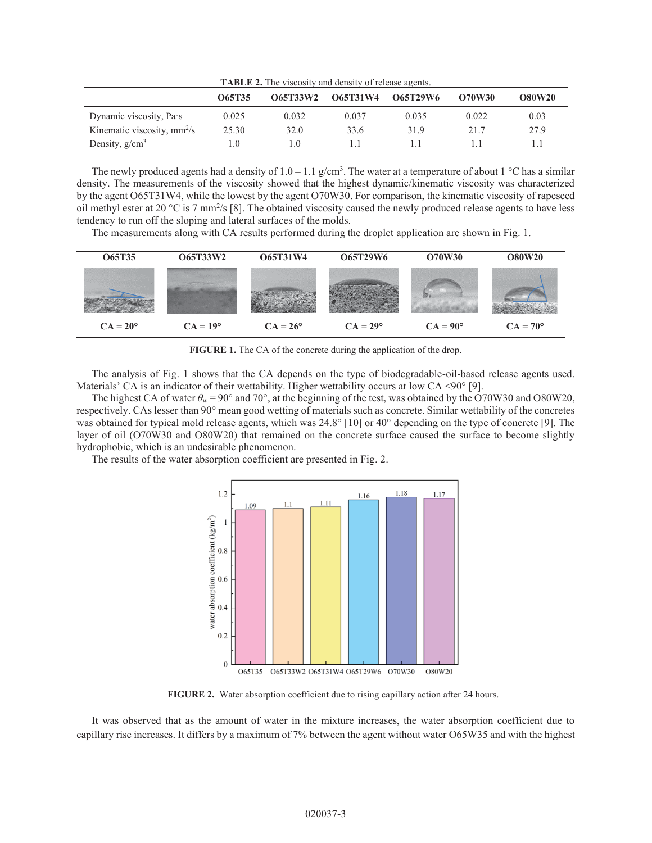| <b>TABLE 2.</b> The viscosity and density of release agents. |        |                 |                 |          |               |               |  |  |
|--------------------------------------------------------------|--------|-----------------|-----------------|----------|---------------|---------------|--|--|
|                                                              | O65T35 | <b>O65T33W2</b> | <b>O65T31W4</b> | O65T29W6 | <b>O70W30</b> | <b>O80W20</b> |  |  |
| Dynamic viscosity, Pa·s                                      | 0.025  | 0.032           | 0.037           | 0.035    | 0.022         | 0.03          |  |  |
| Kinematic viscosity, $mm^2/s$                                | 25.30  | 32.0            | 33.6            | 31.9     | 21.7          | 27.9          |  |  |
| Density, $g/cm3$                                             | 1.0    | 1.0             |                 |          |               |               |  |  |

The newly produced agents had a density of  $1.0 - 1.1$  g/cm<sup>3</sup>. The water at a temperature of about  $1 \degree C$  has a similar density. The measurements of the viscosity showed that the highest dynamic/kinematic viscosity was characterized by the agent O65T31W4, while the lowest by the agent O70W30. For comparison, the kinematic viscosity of rapeseed oil methyl ester at 20 °C is 7 mm<sup>2</sup>/s [8]. The obtained viscosity caused the newly produced release agents to have less tendency to run off the sloping and lateral surfaces of the molds.

The measurements along with CA results performed during the droplet application are shown in Fig. 1.



**FIGURE 1.** The CA of the concrete during the application of the drop.

The analysis of Fig. 1 shows that the CA depends on the type of biodegradable-oil-based release agents used. Materials' CA is an indicator of their wettability. Higher wettability occurs at low CA <90° [9].

The highest CA of water  $\theta_w = 90^\circ$  and 70°, at the beginning of the test, was obtained by the O70W30 and O80W20, respectively. CAs lesser than 90° mean good wetting of materials such as concrete. Similar wettability of the concretes was obtained for typical mold release agents, which was 24.8° [10] or 40° depending on the type of concrete [9]. The layer of oil (O70W30 and O80W20) that remained on the concrete surface caused the surface to become slightly hydrophobic, which is an undesirable phenomenon.

The results of the water absorption coefficient are presented in Fig. 2.



**FIGURE 2.** Water absorption coefficient due to rising capillary action after 24 hours.

It was observed that as the amount of water in the mixture increases, the water absorption coefficient due to capillary rise increases. It differs by a maximum of 7% between the agent without water O65W35 and with the highest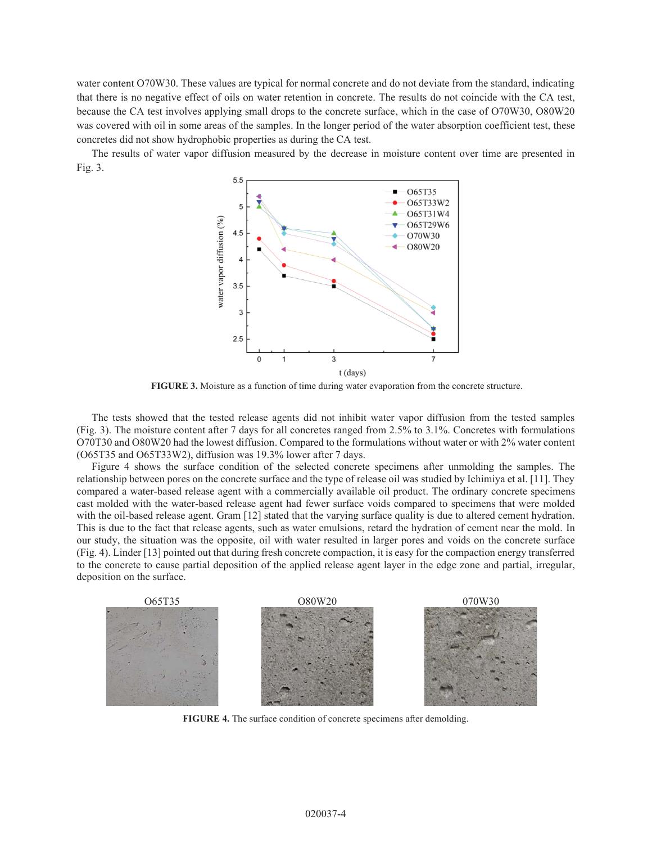water content O70W30. These values are typical for normal concrete and do not deviate from the standard, indicating that there is no negative effect of oils on water retention in concrete. The results do not coincide with the CA test, because the CA test involves applying small drops to the concrete surface, which in the case of O70W30, O80W20 was covered with oil in some areas of the samples. In the longer period of the water absorption coefficient test, these concretes did not show hydrophobic properties as during the CA test.

The results of water vapor diffusion measured by the decrease in moisture content over time are presented in Fig. 3.



**FIGURE 3.** Moisture as a function of time during water evaporation from the concrete structure.

The tests showed that the tested release agents did not inhibit water vapor diffusion from the tested samples (Fig. 3). The moisture content after 7 days for all concretes ranged from 2.5% to 3.1%. Concretes with formulations O70T30 and O80W20 had the lowest diffusion. Compared to the formulations without water or with 2% water content (O65T35 and O65T33W2), diffusion was 19.3% lower after 7 days.

Figure 4 shows the surface condition of the selected concrete specimens after unmolding the samples. The relationship between pores on the concrete surface and the type of release oil was studied by Ichimiya et al. [11]. They compared a water-based release agent with a commercially available oil product. The ordinary concrete specimens cast molded with the water-based release agent had fewer surface voids compared to specimens that were molded with the oil-based release agent. Gram [12] stated that the varying surface quality is due to altered cement hydration. This is due to the fact that release agents, such as water emulsions, retard the hydration of cement near the mold. In our study, the situation was the opposite, oil with water resulted in larger pores and voids on the concrete surface (Fig. 4). Linder [13] pointed out that during fresh concrete compaction, it is easy for the compaction energy transferred to the concrete to cause partial deposition of the applied release agent layer in the edge zone and partial, irregular, deposition on the surface.



**FIGURE 4.** The surface condition of concrete specimens after demolding.